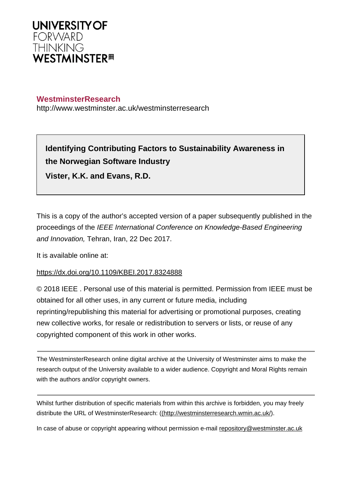

## **WestminsterResearch**

http://www.westminster.ac.uk/westminsterresearch

# **Identifying Contributing Factors to Sustainability Awareness in the Norwegian Software Industry Vister, K.K. and Evans, R.D.**

This is a copy of the author's accepted version of a paper subsequently published in the proceedings of the IEEE International Conference on Knowledge-Based Engineering and Innovation, Tehran, Iran, 22 Dec 2017.

It is available online at:

### <https://dx.doi.org/10.1109/KBEI.2017.8324888>

© 2018 IEEE . Personal use of this material is permitted. Permission from IEEE must be obtained for all other uses, in any current or future media, including reprinting/republishing this material for advertising or promotional purposes, creating new collective works, for resale or redistribution to servers or lists, or reuse of any copyrighted component of this work in other works.

The WestminsterResearch online digital archive at the University of Westminster aims to make the research output of the University available to a wider audience. Copyright and Moral Rights remain with the authors and/or copyright owners.

Whilst further distribution of specific materials from within this archive is forbidden, you may freely distribute the URL of WestminsterResearch: [\(\(http://westminsterresearch.wmin.ac.uk/](http://westminsterresearch.wmin.ac.uk/)).

In case of abuse or copyright appearing without permission e-mail <repository@westminster.ac.uk>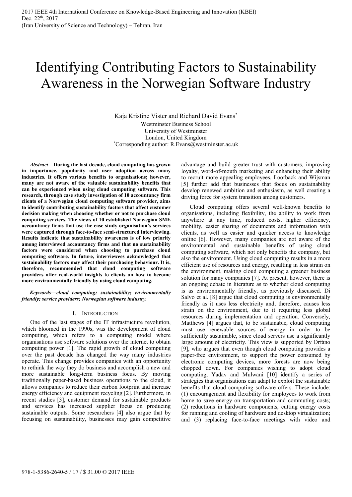# Identifying Contributing Factors to Sustainability Awareness in the Norwegian Software Industry

Kaja Kristine Vister and Richard David Evans\* Westminster Business School University of Westminster London, United Kingdom<br>
\*Corresponding author: R.Evans@westminster.ac.uk

*Abstract***—During the last decade, cloud computing has grown in importance, popularity and user adoption across many industries. It offers various benefits to organisations; however, many are not aware of the valuable sustainability benefits that can be experienced when using cloud computing software. This research, through case study investigation of 10 accountancy firm clients of a Norwegian cloud computing software provider, aims to identify contributing sustainability factors that affect customer decision making when choosing whether or not to purchase cloud computing services. The views of 10 established Norwegian SME accountancy firms that use the case study organisation's services were captured through face-to-face semi-structured interviewing. Results indicate that sustainability awareness is of low priority among interviewed accountancy firms and that no sustainability factors were considered when choosing to purchase cloud computing software. In future, interviewees acknowledged that sustainability factors may affect their purchasing behaviour. It is, therefore, recommended that cloud computing software providers offer real-world insights to clients on how to become more environmentally friendly by using cloud computing.** 

*Keywords—cloud computing; sustainability; environmentally friendly; service providers; Norwegian software industry.* 

#### I. INTRODUCTION

One of the last stages of the IT infrastructure revolution, which bloomed in the 1990s, was the development of cloud computing, which refers to a computing model where organisations use software solutions over the internet to obtain computing power [1]. The rapid growth of cloud computing over the past decade has changed the way many industries operate. This change provides companies with an opportunity to rethink the way they do business and accomplish a new and more sustainable long-term business focus. By moving traditionally paper-based business operations to the cloud, it allows companies to reduce their carbon footprint and increase energy efficiency and equipment recycling [2]. Furthermore, in recent studies [3], customer demand for sustainable products and services has increased supplier focus on producing sustainable outputs. Some researchers [4] also argue that by focusing on sustainability, businesses may gain competitive advantage and build greater trust with customers, improving loyalty, word-of-mouth marketing and enhancing their ability to recruit more appealing employees. Loorback and Wijsman [5] further add that businesses that focus on sustainability develop renewed ambition and enthusiasm, as well creating a driving force for system transition among customers.

Cloud computing offers several well-known benefits to organisations, including flexibility, the ability to work from anywhere at any time, reduced costs, higher efficiency, mobility, easier sharing of documents and information with clients, as well as easier and quicker access to knowledge online [6]. However, many companies are not aware of the environmental and sustainable benefits of using cloud computing software, which not only benefits the company, but also the environment. Using cloud computing results in a more efficient use of resources and energy, resulting in less strain on the environment, making cloud computing a greener business solution for many companies [7]. At present, however, there is an ongoing debate in literature as to whether cloud computing is as environmentally friendly, as previously discussed. Di Salvo et al. [8] argue that cloud computing is environmentally friendly as it uses less electricity and, therefore, causes less strain on the environment, due to it requiring less global resources during implementation and operation. Conversely, Matthews [4] argues that, to be sustainable, cloud computing must use renewable sources of energy in order to be sufficiently sustainable, since cloud servers use a significantly large amount of electricity. This view is supported by Orfano [9], who argues that even though cloud computing provides a paper-free environment, to support the power consumed by electronic computing devices, more forests are now being chopped down. For companies wishing to adopt cloud computing, Yadav and Mulwani [10] identify a series of strategies that organisations can adapt to exploit the sustainable benefits that cloud computing software offers. These include: (1) encouragement and flexibility for employees to work from home to save energy on transportation and commuting costs; (2) reductions in hardware components, cutting energy costs for running and cooling of hardware and desktop virtualization; and (3) replacing face-to-face meetings with video and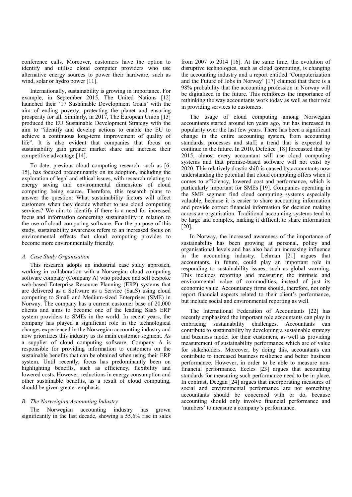conference calls. Moreover, customers have the option to identify and utilise cloud computer providers who use alternative energy sources to power their hardware, such as wind, solar or hydro power [11].

Internationally, sustainability is growing in importance. For example, in September 2015, The United Nations [12] launched their '17 Sustainable Development Goals' with the aim of ending poverty, protecting the planet and ensuring prosperity for all. Similarly, in 2017, The European Union [13] produced the EU Sustainable Development Strategy with the aim to "identify and develop actions to enable the EU to achieve a continuous long-term improvement of quality of life". It is also evident that companies that focus on sustainability gain greater market share and increase their competitive advantage [14].

To date, previous cloud computing research, such as [6, 15], has focused predominantly on its adoption, including the exploration of legal and ethical issues, with research relating to energy saving and environmental dimensions of cloud computing being scarce. Therefore, this research plans to answer the question: What sustainability factors will affect customers when they decide whether to use cloud computing services? We aim to identify if there is a need for increased focus and information concerning sustainability in relation to the use of cloud computing software. For the purpose of this study, sustainability awareness refers to an increased focus on environmental effects that cloud computing provides to become more environmentally friendly.

#### *A. Case Study Organisation*

This research adopts an industrial case study approach, working in collaboration with a Norwegian cloud computing software company (Company A) who produce and sell bespoke web-based Enterprise Resource Planning (ERP) systems that are delivered as a Software as a Service (SaaS) using cloud computing to Small and Medium-sized Enterprises (SME) in Norway. The company has a current customer base of 20,000 clients and aims to become one of the leading SaaS ERP system providers to SMEs in the world. In recent years, the company has played a significant role in the technological changes experienced in the Norwegian accounting industry and now prioritizes this industry as its main customer segment. As a supplier of cloud computing software, Company A is responsible for providing information to customers on the sustainable benefits that can be obtained when using their ERP system. Until recently, focus has predominantly been on highlighting benefits, such as efficiency, flexibility and lowered costs. However, reductions in energy consumption and other sustainable benefits, as a result of cloud computing, should be given greater emphasis.

#### *B. The Norweigian Accounting Industry*

The Norwegian accounting industry has grown significantly in the last decade, showing a 55.6% rise in sales

from 2007 to 2014 [16]. At the same time, the evolution of disruptive technologies, such as cloud computing, is changing the accounting industry and a report entitled 'Computerization and the Future of Jobs in Norway' [17] claimed that there is a 98% probability that the accounting profession in Norway will be digitalized in the future. This reinforces the importance of rethinking the way accountants work today as well as their role in providing services to customers.

The usage of cloud computing among Norwegian accountants started around ten years ago, but has increased in popularity over the last few years. There has been a significant change in the entire accounting system, from accounting standards, processes and staff; a trend that is expected to continue in the future. In 2010, Defelice [18] forecasted that by 2015, almost every accountant will use cloud computing systems and that premise-based software will not exist by 2020. This relatively drastic shift is caused by accountants now understanding the potential that cloud computing offers when it comes to efficiency, lowered cost and performance, which is particularly important for SMEs [19]. Companies operating in the SME segment find cloud computing systems especially valuable, because it is easier to share accounting information and provide correct financial information for decision making across an organisation. Traditional accounting systems tend to be large and complex, making it difficult to share information [20].

In Norway, the increased awareness of the importance of sustainability has been growing at personal, policy and organisational levels and has also had an increasing influence in the accounting industry. Lehman [21] argues that accountants, in future, could play an important role in responding to sustainability issues, such as global warming. This includes reporting and measuring the intrinsic and environmental value of commodities, instead of just its economic value. Accountancy firms should, therefore, not only report financial aspects related to their client's performance, but include social and environmental reporting as well.

The International Federation of Accountants [22] has recently emphasized the important role accountants can play in embracing sustainability challenges. Accountants can contribute to sustainability by developing a sustainable strategy and business model for their customers, as well as providing measurement of sustainability performance which are of value for stakeholders. Moreover, by doing this, accountants can contribute to increased business resilience and better business performance. However, in order to be able to measure nonfinancial performance, Eccles [23] argues that accounting standards for measuring such performance need to be in place. In contrast, Deegan [24] argues that incorporating measures of social and environmental performance are not something accountants should be concerned with or do, because accounting should only involve financial performance and 'numbers' to measure a company's performance.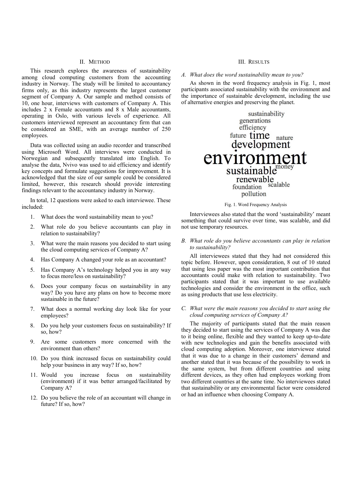#### II. METHOD

This research explores the awareness of sustainability among cloud computing customers from the accounting industry in Norway. The study will be limited to accountancy firms only, as this industry represents the largest customer segment of Company A. Our sample and method consists of 10, one hour, interviews with customers of Company A. This includes 2 x Female accountants and 8 x Male accountants, operating in Oslo, with various levels of experience. All customers interviewed represent an accountancy firm that can be considered an SME, with an average number of 250 employees.

Data was collected using an audio recorder and transcribed using Microsoft Word. All interviews were conducted in Norwegian and subsequently translated into English. To analyse the data, Nvivo was used to aid efficiency and identify key concepts and formulate suggestions for improvement. It is acknowledged that the size of our sample could be considered limited, however, this research should provide interesting findings relevant to the accountancy industry in Norway.

In total, 12 questions were asked to each interviewee. These included:

- 1. What does the word sustainability mean to you?
- 2. What role do you believe accountants can play in relation to sustainability?
- 3. What were the main reasons you decided to start using the cloud computing services of Company A?
- 4. Has Company A changed your role as an accountant?
- 5. Has Company A's technology helped you in any way to focus more/less on sustainability?
- 6. Does your company focus on sustainability in any way? Do you have any plans on how to become more sustainable in the future?
- 7. What does a normal working day look like for your employees?
- 8. Do you help your customers focus on sustainability? If so, how?
- 9. Are some customers more concerned with the environment than others?
- 10. Do you think increased focus on sustainability could help your business in any way? If so, how?
- 11. Would you increase focus on sustainability (environment) if it was better arranged/facilitated by Company A?
- 12. Do you believe the role of an accountant will change in future? If so, how?

#### III. RESULTS

#### *A. What does the word sustainability mean to you?*

As shown in the word frequency analysis in Fig. 1, most participants associated sustainability with the environment and the importance of sustainable development, including the use of alternative energies and preserving the planet.



Fig. 1. Word Frequency Analysis

Interviewees also stated that the word 'sustainability' meant something that could survive over time, was scalable, and did not use temporary resources.

#### *B. What role do you believe accountants can play in relation to sustainability?*

All interviewees stated that they had not considered this topic before. However, upon consideration, 8 out of 10 stated that using less paper was the most important contribution that accountants could make with relation to sustainability. Two participants stated that it was important to use available technologies and consider the environment in the office, such as using products that use less electricity.

#### *C. What were the main reasons you decided to start using the cloud computing services of Company A?*

The majority of participants stated that the main reason they decided to start using the services of Company A was due to it being online, flexible and they wanted to keep up-to-date with new technologies and gain the benefits associated with cloud computing adoption. Moreover, one interviewee stated that it was due to a change in their customers' demand and another stated that it was because of the possibility to work in the same system, but from different countries and using different devices, as they often had employees working from two different countries at the same time. No interviewees stated that sustainability or any environmental factor were considered or had an influence when choosing Company A.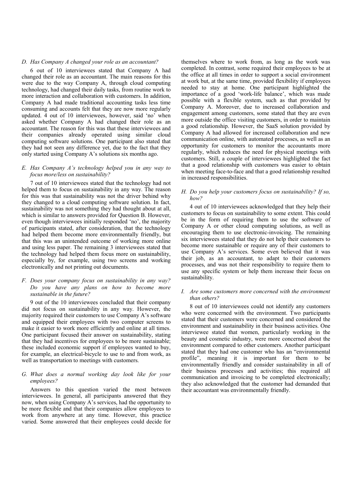#### *D. Has Company A changed your role as an accountant?*

6 out of 10 interviewees stated that Company A had changed their role as an accountant. The main reasons for this were due to the way Company A, through cloud computing technology, had changed their daily tasks, from routine work to more interaction and collaboration with customers. In addition, Company A had made traditional accounting tasks less time consuming and accounts felt that they are now more regularly updated. 4 out of 10 interviewees, however, said 'no' when asked whether Company A had changed their role as an accountant. The reason for this was that these interviewees and their companies already operated using similar cloud computing software solutions. One participant also stated that they had not seen any difference yet, due to the fact that they only started using Company A's solutions six months ago.

#### *E. Has Company A's technology helped you in any way to focus more/less on sustainability?*

7 out of 10 interviewees stated that the technology had not helped them to focus on sustainability in any way. The reason for this was that sustainability was not the driver behind why they changed to a cloud computing software solution. In fact, sustainability was not something they had thought about at all, which is similar to answers provided for Question B. However, even though interviewees initially responded 'no', the majority of participants stated, after consideration, that the technology had helped them become more environmentally friendly, but that this was an unintended outcome of working more online and using less paper. The remaining 3 interviewees stated that the technology had helped them focus more on sustainability, especially by, for example, using two screens and working electronically and not printing out documents.

#### *F. Does your company focus on sustainability in any way? Do you have any plans on how to become more sustainable in the future?*

9 out of the 10 interviewees concluded that their company did not focus on sustainability in any way. However, the majority required their customers to use Company A's software and equipped their employees with two computer screens to make it easier to work more efficiently and online at all times. One participant focused their answer on sustainability, stating that they had incentives for employees to be more sustainable; these included economic support if employees wanted to buy, for example, an electrical-bicycle to use to and from work, as well as transportation to meetings with customers.

#### *G. What does a normal working day look like for your employees?*

Answers to this question varied the most between interviewees. In general, all participants answered that they now, when using Company A's services, had the opportunity to be more flexible and that their companies allow employees to work from anywhere at any time. However, this practice varied. Some answered that their employees could decide for themselves where to work from, as long as the work was completed. In contrast, some required their employees to be at the office at all times in order to support a social environment at work but, at the same time, provided flexibility if employees needed to stay at home. One participant highlighted the importance of a good 'work-life balance', which was made possible with a flexible system, such as that provided by Company A. Moreover, due to increased collaboration and engagement among customers, some stated that they are even more outside the office visiting customers, in order to maintain a good relationship. However, the SaaS solution provided by Company A had allowed for increased collaboration and new communication online, with automated processes, as well as an opportunity for customers to monitor the accountants more regularly, which reduces the need for physical meetings with customers. Still, a couple of interviewees highlighted the fact that a good relationship with customers was easier to obtain when meeting face-to-face and that a good relationship resulted in increased responsibilities.

#### *H. Do you help your customers focus on sustainability? If so, how?*

4 out of 10 interviewees acknowledged that they help their customers to focus on sustainability to some extent. This could be in the form of requiring them to use the software of Company A or other cloud computing solutions, as well as encouraging them to use electronic-invoicing. The remaining six interviewees stated that they do not help their customers to become more sustainable or require any of their customers to use Company A's services. Some even believed that it was their job, as an accountant, to adapt to their customers processes, and was not their responsibility to require them to use any specific system or help them increase their focus on sustainability.

#### *I. Are some customers more concerned with the environment than others?*

8 out of 10 interviewees could not identify any customers who were concerned with the environment. Two participants stated that their customers were concerned and considered the environment and sustainability in their business activities. One interviewee stated that women, particularly working in the beauty and cosmetic industry, were more concerned about the environment compared to other customers. Another participant stated that they had one customer who has an "environmental profile", meaning it is important for them to be environmentally friendly and consider sustainability in all of their business processes and activities; this required all communication and invoicing to be completed electronically; they also acknowledged that the customer had demanded that their accountant was environmentally friendly.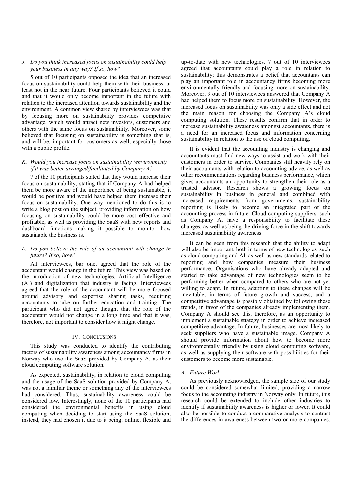#### *J. Do you think increased focus on sustainability could help your business in any way? If so, how?*

5 out of 10 participants opposed the idea that an increased focus on sustainability could help them with their business, at least not in the near future. Four participants believed it could and that it would only become important in the future with relation to the increased attention towards sustainability and the environment. A common view shared by interviewees was that by focusing more on sustainability provides competitive advantage, which would attract new investors, customers and others with the same focus on sustainability. Moreover, some believed that focusing on sustainability is something that is, and will be, important for customers as well, especially those with a public profile.

#### *K. Would you increase focus on sustainability (environment) if it was better arranged/facilitated by Company A?*

7 of the 10 participants stated that they would increase their focus on sustainability, stating that if Company A had helped them be more aware of the importance of being sustainable, it would be positive and would have helped them increase their focus on sustainability. One way mentioned to do this is to write a blog post on the subject, providing information on how focusing on sustainability could be more cost effective and profitable, as well as providing the SaaS with new reports and dashboard functions making it possible to monitor how sustainable the business is.

#### *L. Do you believe the role of an accountant will change in future? If so, how?*

All interviewees, bar one, agreed that the role of the accountant would change in the future. This view was based on the introduction of new technologies, Artificial Intelligence (AI) and digitalization that industry is facing. Interviewees agreed that the role of the accountant will be more focused around advisory and expertise sharing tasks, requiring accountants to take on further education and training. The participant who did not agree thought that the role of the accountant would not change in a long time and that it was, therefore, not important to consider how it might change.

#### IV. CONCLUSIONS

This study was conducted to identify the contributing factors of sustainability awareness among accountancy firms in Norway who use the SaaS provided by Company A, as their cloud computing software solution.

As expected, sustainability, in relation to cloud computing and the usage of the SaaS solution provided by Company A, was not a familiar theme or something any of the interviewees had considered. Thus, sustainability awareness could be considered low. Interestingly, none of the 10 participants had considered the environmental benefits in using cloud computing when deciding to start using the SaaS solution; instead, they had chosen it due to it being: online, flexible and

up-to-date with new technologies. 7 out of 10 interviewees agreed that accountants could play a role in relation to sustainability; this demonstrates a belief that accountants can play an important role in accountancy firms becoming more environmentally friendly and focusing more on sustainability. Moreover, 9 out of 10 interviewees answered that Company A had helped them to focus more on sustainability. However, the increased focus on sustainability was only a side effect and not the main reason for choosing the Company A's cloud computing solution. These results confirm that in order to increase sustainability awareness amongst accountants, there is a need for an increased focus and information concerning sustainability in relation to the use of cloud computing.

It is evident that the accounting industry is changing and accountants must find new ways to assist and work with their customers in order to survive. Companies still heavily rely on their accountants with relation to accounting advice, as well as other recommendations regarding business performance, which gives accountants an opportunity to strengthen their role as a trusted advisor. Research shows a growing focus on sustainability in business in general and combined with increased requirements from governments, sustainability reporting is likely to become an integrated part of the accounting process in future. Cloud computing suppliers, such as Company A, have a responsibility to facilitate these changes, as well as being the driving force in the shift towards increased sustainability awareness.

It can be seen from this research that the ability to adapt will also be important, both in terms of new technologies, such as cloud computing and AI, as well as new standards related to reporting and how companies measure their business performance. Organisations who have already adapted and started to take advantage of new technologies seem to be performing better when compared to others who are not yet willing to adapt. In future, adapting to these changes will be inevitable, in terms of future growth and success, and a competitive advantage is possibly obtained by following these trends, in favor of the companies already implementing them. Company A should see this, therefore, as an opportunity to implement a sustainable strategy in order to achieve increased competitive advantage. In future, businesses are most likely to seek suppliers who have a sustainable image. Company A should provide information about how to become more environmentally friendly by using cloud computing software, as well as supplying their software with possibilities for their customers to become more sustainable.

#### *A. Future Work*

As previously acknowledged, the sample size of our study could be considered somewhat limited, providing a narrow focus to the accounting industry in Norway only. In future, this research could be extended to include other industries to identify if sustainability awareness is higher or lower. It could also be possible to conduct a comparative analysis to contrast the differences in awareness between two or more companies.